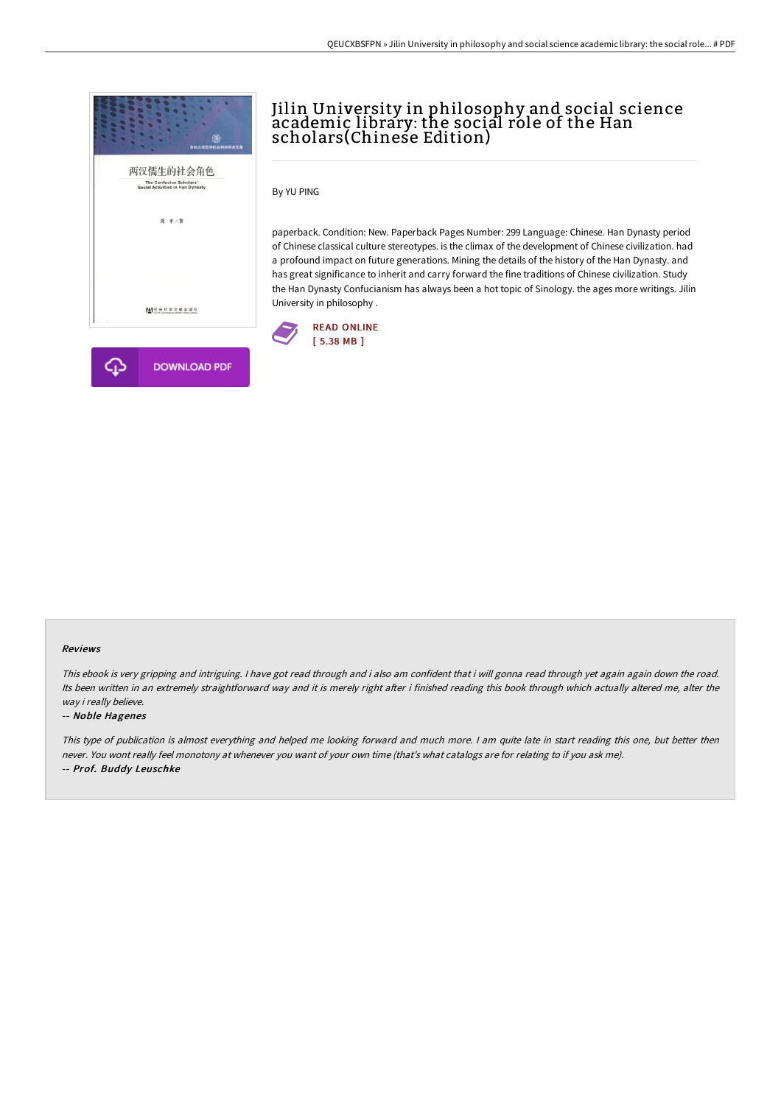

# Jilin University in philosophy and social science academic library: the social role of the Han scholars(Chinese Edition)

By YU PING

paperback. Condition: New. Paperback Pages Number: 299 Language: Chinese. Han Dynasty period of Chinese classical culture stereotypes. is the climax of the development of Chinese civilization. had a profound impact on future generations. Mining the details of the history of the Han Dynasty. and has great significance to inherit and carry forward the fine traditions of Chinese civilization. Study the Han Dynasty Confucianism has always been a hot topic of Sinology. the ages more writings. Jilin University in philosophy .



#### Reviews

This ebook is very gripping and intriguing. <sup>I</sup> have got read through and i also am confident that i will gonna read through yet again again down the road. Its been written in an extremely straightforward way and it is merely right after i finished reading this book through which actually altered me, alter the way i really believe.

#### -- Noble Hagenes

This type of publication is almost everything and helped me looking forward and much more. <sup>I</sup> am quite late in start reading this one, but better then never. You wont really feel monotony at whenever you want of your own time (that's what catalogs are for relating to if you ask me). -- Prof. Buddy Leuschke